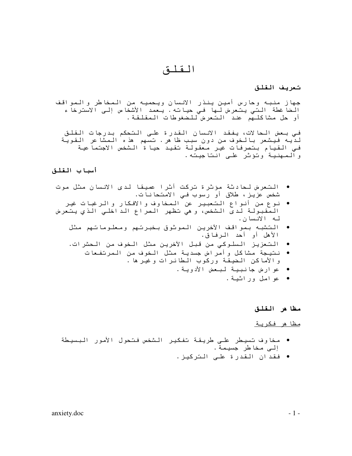القلق

تعريف القلق

جهاز منبه وحارس أمين ينذر الانسان ويحميه من المخاطر والمواقف الضا غطة الني يتعرض لها في حياته. يعمد الأشخاص إلى الاسترخاء أو حل مشاكلهم عند التعرض للضغوطات المقلقة.

في بعض الحالات، يفقد الانسان القدرة على التحكم بدرجات القلق لديه فيشعر بالخوف من دون سبب ظا هر. تسهم هذه المشاعر القوية في القيام بتصرفات غير معقولة تقيد حيا ة الشخص الاجتما عية<br>والممهنية وتؤثر على انتاجيته.

## أسباب القلق

- التعرض لحادثة مؤثرة تركت أثرا عصيقا لدى الانسان مثل موت شخص عزیز، طلاق اَو رسوب فـی الامتحانات.
- نوع من أنواع التعبير عن المخاوف والافكار والرغبات غير المقبولة لدى الشخص، و هي تظهر الصراع الداخلي الذي يتعرض له الانسان.
	- التشبه بمواقف الأخرين الموثوق بخبرتهم ومعلوماتهم مثل الأهل أو أحد الرفاق.
	- التعزيز السلوكي من قبل الأخرين مثل الخوف من الحشرات.
		- نتيجة مشاكل وأمراض جسدية مثل الخوف من المرتفعات و الأماكن الضيقة وركوب الطائرات وغير ها .
			- عو ارض جانبية لبعض الأدوية.
				- عوامل وراثية.

## مظا هر القلق

<u>مظا هر فکربة</u>

- مخاوف تسبطر على طريقة تفكير الشخص فتحول الأمور البسيطة إلى مخاطر جسيمة.
	- فقدان القدرة علـی الترکیز.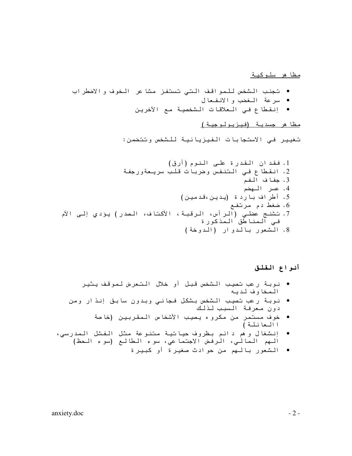<u>مظا هر سلوكبة</u>

- تجنب الشخص للمواقف التى تستفز مشا عر الخوف والاضطراب
	- سرعة المغضب والانفعال
	- إنقطاع في العلاقات الشخصية مع الأخرين

<u>مظا هر جسدية (فيزيولوجية)</u>

تغيير في الأستجابات الفيزيائية للشخص وتتضمن:

1. فقد ان القدرة على النوم (أرق) 2. انقطاع فـي التنفس وضربات قلب سريـعةورجفـة 3. جفاف الفم 4. عسر الهضم 5. أطراف باردة (بدين،قدمين) 6. ضغط دم مرتفع 7. تشنج عضلـى (الراس، الرقبة، الأكتاف، الصدر) يؤدي إلـى الأم في المناطق المدكورة 8. الشعور بالدوار (الدوخة)

أنواع القلق

- نوبة رعب تصيب الشخص قبل أو خلال التعرض لموقف يثير الممخاوف لديه
- نوبة رعب تصيب الشخص بشكل فجائي وبدون سابق إنذار ومن دون معرفة السبب لذلك
	- خوف مستمر من مكروه يصيب الأشخاص المقربين (خاصة ا المعائلة )
- إنشغال وهم دائم بظروف حياتية متنوعة مثل الفشل المدرسي،  $\bullet$ الهم المالي، الرفض الأجتما عي، سوء الطالع (سوء الحظ)
	- الشعور بالـهم من حوادث صغيرة أو كبيرة